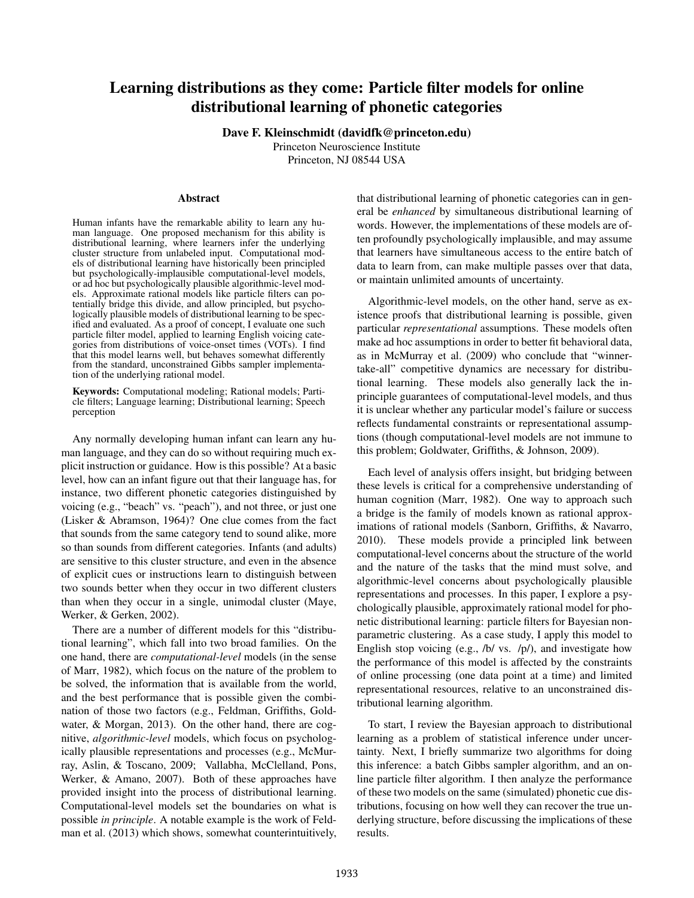# Learning distributions as they come: Particle filter models for online distributional learning of phonetic categories

Dave F. Kleinschmidt (davidfk@princeton.edu)

Princeton Neuroscience Institute Princeton, NJ 08544 USA

#### Abstract

Human infants have the remarkable ability to learn any human language. One proposed mechanism for this ability is distributional learning, where learners infer the underlying cluster structure from unlabeled input. Computational models of distributional learning have historically been principled but psychologically-implausible computational-level models, or ad hoc but psychologically plausible algorithmic-level models. Approximate rational models like particle filters can potentially bridge this divide, and allow principled, but psychologically plausible models of distributional learning to be specified and evaluated. As a proof of concept, I evaluate one such particle filter model, applied to learning English voicing categories from distributions of voice-onset times (VOTs). I find that this model learns well, but behaves somewhat differently from the standard, unconstrained Gibbs sampler implementation of the underlying rational model.

Keywords: Computational modeling; Rational models; Particle filters; Language learning; Distributional learning; Speech perception

Any normally developing human infant can learn any human language, and they can do so without requiring much explicit instruction or guidance. How is this possible? At a basic level, how can an infant figure out that their language has, for instance, two different phonetic categories distinguished by voicing (e.g., "beach" vs. "peach"), and not three, or just one (Lisker & Abramson, [1964\)](#page-5-0)? One clue comes from the fact that sounds from the same category tend to sound alike, more so than sounds from different categories. Infants (and adults) are sensitive to this cluster structure, and even in the absence of explicit cues or instructions learn to distinguish between two sounds better when they occur in two different clusters than when they occur in a single, unimodal cluster (Maye, Werker, & Gerken, [2002\)](#page-5-1).

There are a number of different models for this "distributional learning", which fall into two broad families. On the one hand, there are *computational-level* models (in the sense of Marr, [1982\)](#page-5-2), which focus on the nature of the problem to be solved, the information that is available from the world, and the best performance that is possible given the combination of those two factors (e.g., Feldman, Griffiths, Goldwater, & Morgan, [2013\)](#page-5-3). On the other hand, there are cognitive, *algorithmic-level* models, which focus on psychologically plausible representations and processes (e.g., McMurray, Aslin, & Toscano, [2009;](#page-5-4) Vallabha, McClelland, Pons, Werker, & Amano, [2007\)](#page-5-5). Both of these approaches have provided insight into the process of distributional learning. Computational-level models set the boundaries on what is possible *in principle*. A notable example is the work of Feldman et al. [\(2013\)](#page-5-3) which shows, somewhat counterintuitively, that distributional learning of phonetic categories can in general be *enhanced* by simultaneous distributional learning of words. However, the implementations of these models are often profoundly psychologically implausible, and may assume that learners have simultaneous access to the entire batch of data to learn from, can make multiple passes over that data, or maintain unlimited amounts of uncertainty.

Algorithmic-level models, on the other hand, serve as existence proofs that distributional learning is possible, given particular *representational* assumptions. These models often make ad hoc assumptions in order to better fit behavioral data, as in McMurray et al. [\(2009\)](#page-5-4) who conclude that "winnertake-all" competitive dynamics are necessary for distributional learning. These models also generally lack the inprinciple guarantees of computational-level models, and thus it is unclear whether any particular model's failure or success reflects fundamental constraints or representational assumptions (though computational-level models are not immune to this problem; Goldwater, Griffiths, & Johnson, [2009\)](#page-5-6).

Each level of analysis offers insight, but bridging between these levels is critical for a comprehensive understanding of human cognition (Marr, [1982\)](#page-5-2). One way to approach such a bridge is the family of models known as rational approximations of rational models (Sanborn, Griffiths, & Navarro, [2010\)](#page-5-7). These models provide a principled link between computational-level concerns about the structure of the world and the nature of the tasks that the mind must solve, and algorithmic-level concerns about psychologically plausible representations and processes. In this paper, I explore a psychologically plausible, approximately rational model for phonetic distributional learning: particle filters for Bayesian nonparametric clustering. As a case study, I apply this model to English stop voicing (e.g., /b/ vs. /p/), and investigate how the performance of this model is affected by the constraints of online processing (one data point at a time) and limited representational resources, relative to an unconstrained distributional learning algorithm.

To start, I review the Bayesian approach to distributional learning as a problem of statistical inference under uncertainty. Next, I briefly summarize two algorithms for doing this inference: a batch Gibbs sampler algorithm, and an online particle filter algorithm. I then analyze the performance of these two models on the same (simulated) phonetic cue distributions, focusing on how well they can recover the true underlying structure, before discussing the implications of these results.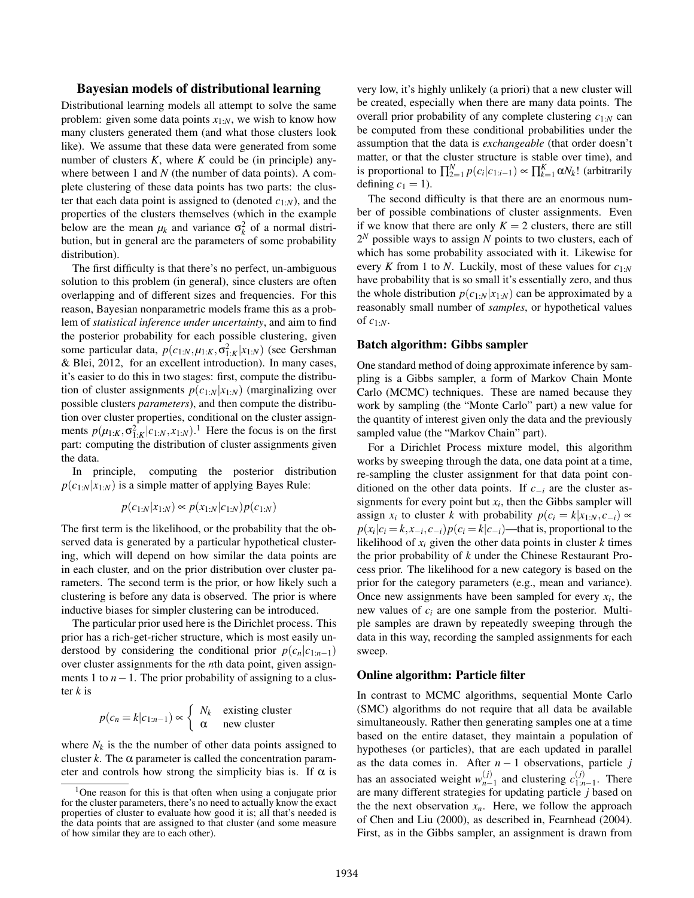## Bayesian models of distributional learning

Distributional learning models all attempt to solve the same problem: given some data points  $x_{1:N}$ , we wish to know how many clusters generated them (and what those clusters look like). We assume that these data were generated from some number of clusters *K*, where *K* could be (in principle) anywhere between 1 and *N* (the number of data points). A complete clustering of these data points has two parts: the cluster that each data point is assigned to (denoted  $c_{1:N}$ ), and the properties of the clusters themselves (which in the example below are the mean  $\mu_k$  and variance  $\sigma_k^2$  of a normal distribution, but in general are the parameters of some probability distribution).

The first difficulty is that there's no perfect, un-ambiguous solution to this problem (in general), since clusters are often overlapping and of different sizes and frequencies. For this reason, Bayesian nonparametric models frame this as a problem of *statistical inference under uncertainty*, and aim to find the posterior probability for each possible clustering, given some particular data,  $p(c_{1:N}, \mu_{1:K}, \sigma_{1:K}^2 | x_{1:N})$  (see Gershman & Blei, [2012,](#page-5-8) for an excellent introduction). In many cases, it's easier to do this in two stages: first, compute the distribution of cluster assignments  $p(c_{1:N}|x_{1:N})$  (marginalizing over possible clusters *parameters*), and then compute the distribution over cluster properties, conditional on the cluster assignments  $p(\mu_{1:K}, \sigma_{1:K}^2 | c_{1:N}, x_{1:N})$  $p(\mu_{1:K}, \sigma_{1:K}^2 | c_{1:N}, x_{1:N})$  $p(\mu_{1:K}, \sigma_{1:K}^2 | c_{1:N}, x_{1:N})$ .<sup>1</sup> Here the focus is on the first part: computing the distribution of cluster assignments given the data.

In principle, computing the posterior distribution  $p(c_{1:N}|x_{1:N})$  is a simple matter of applying Bayes Rule:

$$
p(c_{1:N}|x_{1:N}) \propto p(x_{1:N}|c_{1:N})p(c_{1:N})
$$

The first term is the likelihood, or the probability that the observed data is generated by a particular hypothetical clustering, which will depend on how similar the data points are in each cluster, and on the prior distribution over cluster parameters. The second term is the prior, or how likely such a clustering is before any data is observed. The prior is where inductive biases for simpler clustering can be introduced.

The particular prior used here is the Dirichlet process. This prior has a rich-get-richer structure, which is most easily understood by considering the conditional prior  $p(c_n|c_{1:n-1})$ over cluster assignments for the *n*th data point, given assignments 1 to *n*−1. The prior probability of assigning to a cluster *k* is

$$
p(c_n = k | c_{1:n-1}) \propto \begin{cases} N_k & \text{existing cluster} \\ \alpha & \text{new cluster} \end{cases}
$$

where  $N_k$  is the the number of other data points assigned to cluster  $k$ . The  $\alpha$  parameter is called the concentration parameter and controls how strong the simplicity bias is. If  $\alpha$  is very low, it's highly unlikely (a priori) that a new cluster will be created, especially when there are many data points. The overall prior probability of any complete clustering *c*1:*<sup>N</sup>* can be computed from these conditional probabilities under the assumption that the data is *exchangeable* (that order doesn't matter, or that the cluster structure is stable over time), and is proportional to  $\prod_{2=1}^{N} p(c_i | c_{1:i-1}) \propto \prod_{k=1}^{K} \alpha N_k!$  (arbitrarily defining  $c_1 = 1$ ).

The second difficulty is that there are an enormous number of possible combinations of cluster assignments. Even if we know that there are only  $K = 2$  clusters, there are still 2 *<sup>N</sup>* possible ways to assign *N* points to two clusters, each of which has some probability associated with it. Likewise for every *K* from 1 to *N*. Luckily, most of these values for *c*1:*<sup>N</sup>* have probability that is so small it's essentially zero, and thus the whole distribution  $p(c_{1:N}|x_{1:N})$  can be approximated by a reasonably small number of *samples*, or hypothetical values of *c*1:*N*.

## Batch algorithm: Gibbs sampler

One standard method of doing approximate inference by sampling is a Gibbs sampler, a form of Markov Chain Monte Carlo (MCMC) techniques. These are named because they work by sampling (the "Monte Carlo" part) a new value for the quantity of interest given only the data and the previously sampled value (the "Markov Chain" part).

For a Dirichlet Process mixture model, this algorithm works by sweeping through the data, one data point at a time, re-sampling the cluster assignment for that data point conditioned on the other data points. If *c*−*<sup>i</sup>* are the cluster assignments for every point but  $x_i$ , then the Gibbs sampler will assign *x<sub>i</sub>* to cluster *k* with probability  $p(c_i = k | x_{1:N}, c_{-i}) \propto$  $p(x_i|c_i = k, x_{-i}, c_{-i})p(c_i = k|c_{-i})$ —that is, proportional to the likelihood of  $x_i$  given the other data points in cluster  $k$  times the prior probability of *k* under the Chinese Restaurant Process prior. The likelihood for a new category is based on the prior for the category parameters (e.g., mean and variance). Once new assignments have been sampled for every  $x_i$ , the new values of *c<sup>i</sup>* are one sample from the posterior. Multiple samples are drawn by repeatedly sweeping through the data in this way, recording the sampled assignments for each sweep.

#### Online algorithm: Particle filter

In contrast to MCMC algorithms, sequential Monte Carlo (SMC) algorithms do not require that all data be available simultaneously. Rather then generating samples one at a time based on the entire dataset, they maintain a population of hypotheses (or particles), that are each updated in parallel as the data comes in. After  $n - 1$  observations, particle *j* has an associated weight  $w_{n-1}^{(j)}$  $\binom{(j)}{n-1}$  and clustering  $c_{1:n}^{(j)}$  $\sum_{1:n-1}^{(j)}$ . There are many different strategies for updating particle *j* based on the the next observation  $x_n$ . Here, we follow the approach of Chen and Liu [\(2000\)](#page-5-9), as described in, Fearnhead [\(2004\)](#page-5-10). First, as in the Gibbs sampler, an assignment is drawn from

<span id="page-1-0"></span><sup>1</sup>One reason for this is that often when using a conjugate prior for the cluster parameters, there's no need to actually know the exact properties of cluster to evaluate how good it is; all that's needed is the data points that are assigned to that cluster (and some measure of how similar they are to each other).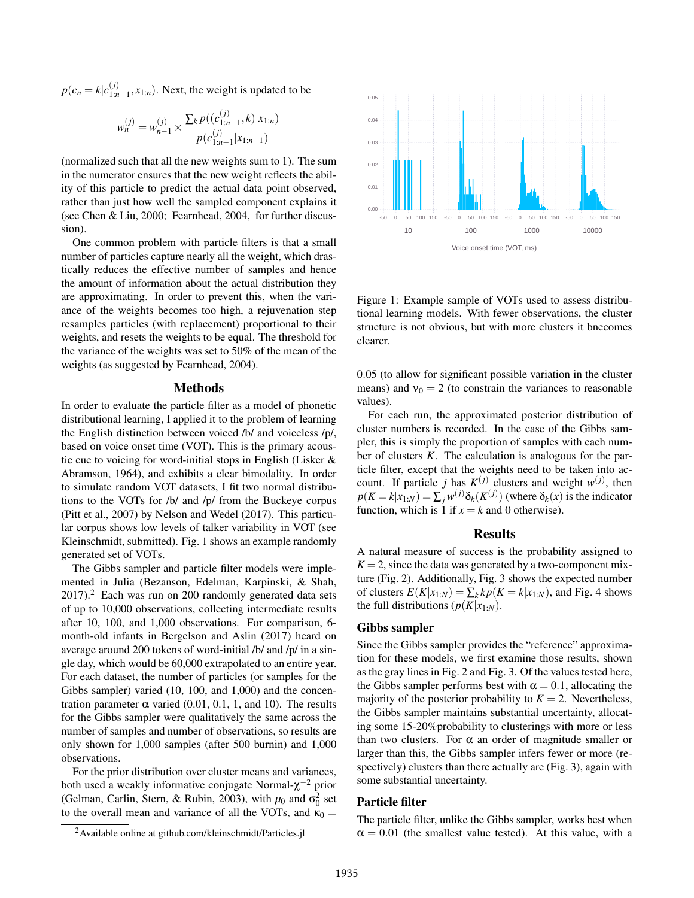$p(c_n = k | c_{1:n}^{(j)})$  $\binom{1}{1:n-1}$ ,  $x_{1:n}$ ). Next, the weight is updated to be

$$
w_n^{(j)} = w_{n-1}^{(j)} \times \frac{\sum_k p((c_{1:n-1}^{(j)}, k)|x_{1:n})}{p(c_{1:n-1}^{(j)}|x_{1:n-1})}
$$

(normalized such that all the new weights sum to 1). The sum in the numerator ensures that the new weight reflects the ability of this particle to predict the actual data point observed, rather than just how well the sampled component explains it (see Chen & Liu, [2000;](#page-5-9) Fearnhead, [2004,](#page-5-10) for further discussion).

One common problem with particle filters is that a small number of particles capture nearly all the weight, which drastically reduces the effective number of samples and hence the amount of information about the actual distribution they are approximating. In order to prevent this, when the variance of the weights becomes too high, a rejuvenation step resamples particles (with replacement) proportional to their weights, and resets the weights to be equal. The threshold for the variance of the weights was set to 50% of the mean of the weights (as suggested by Fearnhead, [2004\)](#page-5-10).

#### Methods

In order to evaluate the particle filter as a model of phonetic distributional learning, I applied it to the problem of learning the English distinction between voiced /b/ and voiceless /p/, based on voice onset time (VOT). This is the primary acoustic cue to voicing for word-initial stops in English (Lisker & Abramson, [1964\)](#page-5-0), and exhibits a clear bimodality. In order to simulate random VOT datasets, I fit two normal distributions to the VOTs for /b/ and /p/ from the Buckeye corpus (Pitt et al., [2007\)](#page-5-11) by Nelson and Wedel [\(2017\)](#page-5-12). This particular corpus shows low levels of talker variability in VOT (see Kleinschmidt, [submitted\)](#page-5-13). Fig. [1](#page-2-0) shows an example randomly generated set of VOTs.

The Gibbs sampler and particle filter models were implemented in Julia (Bezanson, Edelman, Karpinski, & Shah,  $2017$  $2017$ ).<sup>2</sup> Each was run on 200 randomly generated data sets of up to 10,000 observations, collecting intermediate results after 10, 100, and 1,000 observations. For comparison, 6 month-old infants in Bergelson and Aslin [\(2017\)](#page-5-15) heard on average around 200 tokens of word-initial /b/ and /p/ in a single day, which would be 60,000 extrapolated to an entire year. For each dataset, the number of particles (or samples for the Gibbs sampler) varied (10, 100, and 1,000) and the concentration parameter α varied  $(0.01, 0.1, 1,$  and 10). The results for the Gibbs sampler were qualitatively the same across the number of samples and number of observations, so results are only shown for 1,000 samples (after 500 burnin) and 1,000 observations.

For the prior distribution over cluster means and variances, both used a weakly informative conjugate Normal- $\chi^{-2}$  prior (Gelman, Carlin, Stern, & Rubin, [2003\)](#page-5-16), with  $\mu_0$  and  $\sigma_0^2$  set to the overall mean and variance of all the VOTs, and  $\kappa_0 =$ 

<span id="page-2-1"></span>



<span id="page-2-0"></span>Figure 1: Example sample of VOTs used to assess distributional learning models. With fewer observations, the cluster structure is not obvious, but with more clusters it bnecomes clearer.

0.05 (to allow for significant possible variation in the cluster means) and  $v_0 = 2$  (to constrain the variances to reasonable values).

For each run, the approximated posterior distribution of cluster numbers is recorded. In the case of the Gibbs sampler, this is simply the proportion of samples with each number of clusters *K*. The calculation is analogous for the particle filter, except that the weights need to be taken into account. If particle *j* has  $K^{(j)}$  clusters and weight  $w^{(j)}$ , then  $p(K = k|x_{1:N}) = \sum_j w^{(j)} \delta_k(K^{(j)})$  (where  $\delta_k(x)$  is the indicator function, which is 1 if  $x = k$  and 0 otherwise).

## Results

A natural measure of success is the probability assigned to  $K = 2$ , since the data was generated by a two-component mixture (Fig. [2\)](#page-3-0). Additionally, Fig. [3](#page-3-1) shows the expected number of clusters  $E(K|x_{1:N}) = \sum_k k p(K = k|x_{1:N})$ , and Fig. [4](#page-4-0) shows the full distributions  $(p(K|x_{1:N}))$ .

#### Gibbs sampler

Since the Gibbs sampler provides the "reference" approximation for these models, we first examine those results, shown as the gray lines in Fig. [2](#page-3-0) and Fig. [3.](#page-3-1) Of the values tested here, the Gibbs sampler performs best with  $\alpha = 0.1$ , allocating the majority of the posterior probability to  $K = 2$ . Nevertheless, the Gibbs sampler maintains substantial uncertainty, allocating some 15-20%probability to clusterings with more or less than two clusters. For  $\alpha$  an order of magnitude smaller or larger than this, the Gibbs sampler infers fewer or more (respectively) clusters than there actually are (Fig. [3\)](#page-3-1), again with some substantial uncertainty.

## Particle filter

The particle filter, unlike the Gibbs sampler, works best when  $\alpha = 0.01$  (the smallest value tested). At this value, with a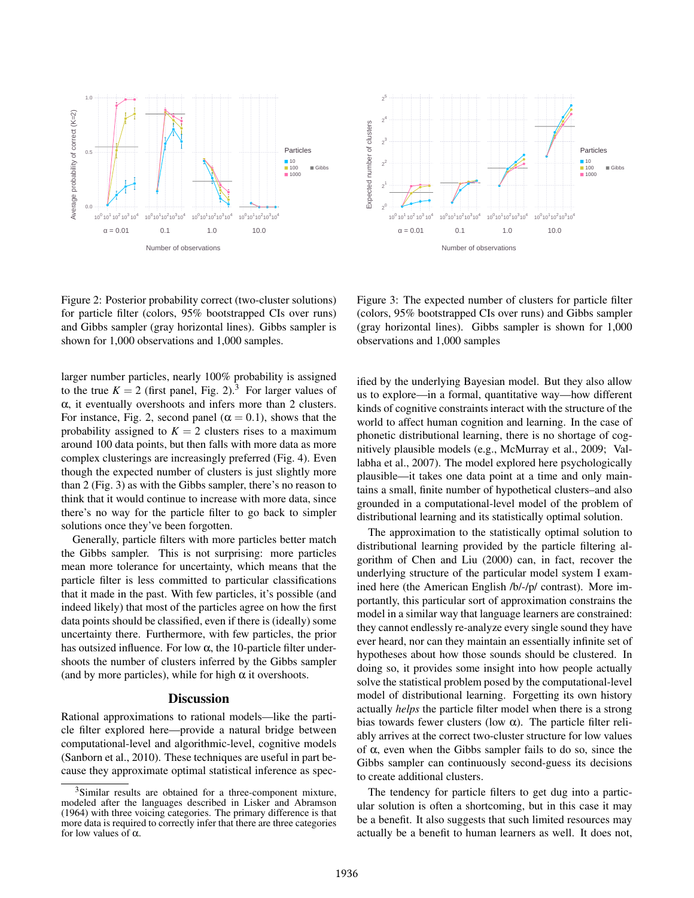



<span id="page-3-0"></span>Figure 2: Posterior probability correct (two-cluster solutions) for particle filter (colors, 95% bootstrapped CIs over runs) and Gibbs sampler (gray horizontal lines). Gibbs sampler is shown for 1,000 observations and 1,000 samples.

larger number particles, nearly 100% probability is assigned to the true  $K = 2$  (first panel, Fig. [2\)](#page-3-0).<sup>[3](#page-3-2)</sup> For larger values of  $\alpha$ , it eventually overshoots and infers more than 2 clusters. For instance, Fig. [2,](#page-3-0) second panel ( $\alpha = 0.1$ ), shows that the probability assigned to  $K = 2$  clusters rises to a maximum around 100 data points, but then falls with more data as more complex clusterings are increasingly preferred (Fig. [4\)](#page-4-0). Even though the expected number of clusters is just slightly more than 2 (Fig. [3\)](#page-3-1) as with the Gibbs sampler, there's no reason to think that it would continue to increase with more data, since there's no way for the particle filter to go back to simpler solutions once they've been forgotten.

Generally, particle filters with more particles better match the Gibbs sampler. This is not surprising: more particles mean more tolerance for uncertainty, which means that the particle filter is less committed to particular classifications that it made in the past. With few particles, it's possible (and indeed likely) that most of the particles agree on how the first data points should be classified, even if there is (ideally) some uncertainty there. Furthermore, with few particles, the prior has outsized influence. For low  $\alpha$ , the 10-particle filter undershoots the number of clusters inferred by the Gibbs sampler (and by more particles), while for high  $\alpha$  it overshoots.

## **Discussion**

Rational approximations to rational models—like the particle filter explored here—provide a natural bridge between computational-level and algorithmic-level, cognitive models (Sanborn et al., [2010\)](#page-5-7). These techniques are useful in part because they approximate optimal statistical inference as spec-

<span id="page-3-1"></span>Figure 3: The expected number of clusters for particle filter (colors, 95% bootstrapped CIs over runs) and Gibbs sampler (gray horizontal lines). Gibbs sampler is shown for 1,000 observations and 1,000 samples

ified by the underlying Bayesian model. But they also allow us to explore—in a formal, quantitative way—how different kinds of cognitive constraints interact with the structure of the world to affect human cognition and learning. In the case of phonetic distributional learning, there is no shortage of cognitively plausible models (e.g., McMurray et al., [2009;](#page-5-4) Vallabha et al., [2007\)](#page-5-5). The model explored here psychologically plausible—it takes one data point at a time and only maintains a small, finite number of hypothetical clusters–and also grounded in a computational-level model of the problem of distributional learning and its statistically optimal solution.

The approximation to the statistically optimal solution to distributional learning provided by the particle filtering algorithm of Chen and Liu [\(2000\)](#page-5-9) can, in fact, recover the underlying structure of the particular model system I examined here (the American English /b/-/p/ contrast). More importantly, this particular sort of approximation constrains the model in a similar way that language learners are constrained: they cannot endlessly re-analyze every single sound they have ever heard, nor can they maintain an essentially infinite set of hypotheses about how those sounds should be clustered. In doing so, it provides some insight into how people actually solve the statistical problem posed by the computational-level model of distributional learning. Forgetting its own history actually *helps* the particle filter model when there is a strong bias towards fewer clusters (low  $\alpha$ ). The particle filter reliably arrives at the correct two-cluster structure for low values of α, even when the Gibbs sampler fails to do so, since the Gibbs sampler can continuously second-guess its decisions to create additional clusters.

The tendency for particle filters to get dug into a particular solution is often a shortcoming, but in this case it may be a benefit. It also suggests that such limited resources may actually be a benefit to human learners as well. It does not,

<span id="page-3-2"></span><sup>3</sup>Similar results are obtained for a three-component mixture, modeled after the languages described in Lisker and Abramson [\(1964\)](#page-5-0) with three voicing categories. The primary difference is that more data is required to correctly infer that there are three categories for low values of α.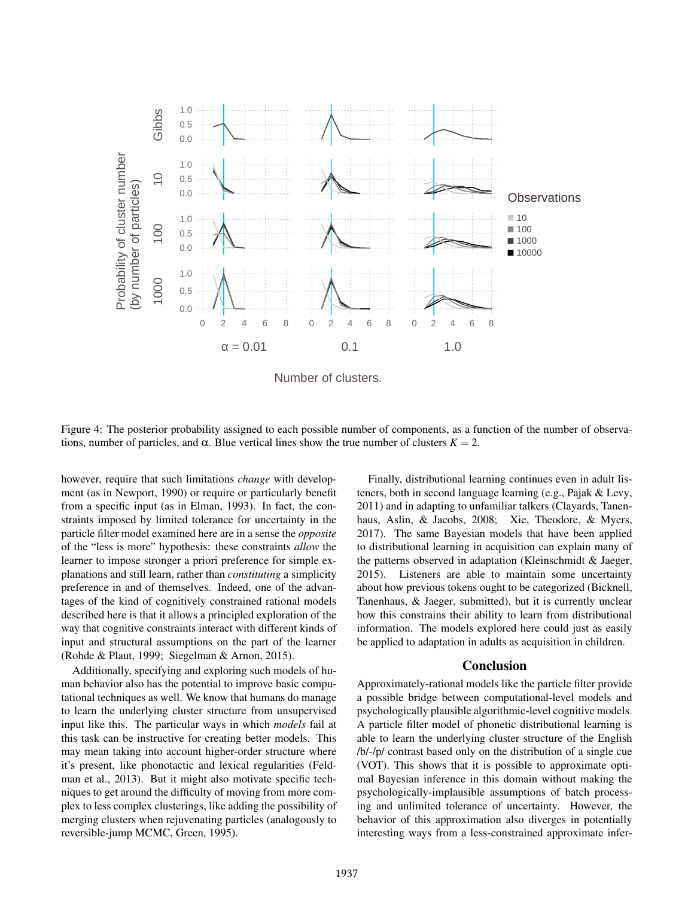

Number of clusters.

Figure 4: The posterior probability assigned to each possible number of components, as a function of the number of observations, number of particles, and α. Blue vertical lines show the true number of clusters  $K = 2$ .

however, require that such limitations *change* with development (as in Newport, [1990\)](#page-5-17) or require or particularly benefit from a specific input (as in Elman, [1993\)](#page-5-18). In fact, the constraints imposed by limited tolerance for uncertainty in the particle filter model examined here are in a sense the *opposite* of the "less is more" hypothesis: these constraints *allow* the learner to impose stronger a priori preference for simple explanations and still learn, rather than *constituting* a simplicity preference in and of themselves. Indeed, one of the advantages of the kind of cognitively constrained rational models described here is that it allows a principled exploration of the way that cognitive constraints interact with different kinds of input and structural assumptions on the part of the learner (Rohde & Plaut, [1999;](#page-5-19) Siegelman & Arnon, [2015\)](#page-5-20).

Additionally, specifying and exploring such models of human behavior also has the potential to improve basic computational techniques as well. We know that humans do manage to learn the underlying cluster structure from unsupervised input like this. The particular ways in which *models* fail at this task can be instructive for creating better models. This may mean taking into account higher-order structure where it's present, like phonotactic and lexical regularities (Feldman et al., [2013\)](#page-5-3). But it might also motivate specific techniques to get around the difficulty of moving from more complex to less complex clusterings, like adding the possibility of merging clusters when rejuvenating particles (analogously to reversible-jump MCMC, Green, [1995\)](#page-5-21).

<span id="page-4-0"></span>Finally, distributional learning continues even in adult listeners, both in second language learning (e.g., Pajak & Levy, [2011\)](#page-5-22) and in adapting to unfamiliar talkers (Clayards, Tanenhaus, Aslin, & Jacobs, [2008;](#page-5-23) Xie, Theodore, & Myers, [2017\)](#page-5-24). The same Bayesian models that have been applied to distributional learning in acquisition can explain many of the patterns observed in adaptation (Kleinschmidt & Jaeger, [2015\)](#page-5-25). Listeners are able to maintain some uncertainty about how previous tokens ought to be categorized (Bicknell, Tanenhaus, & Jaeger, [submitted\)](#page-5-26), but it is currently unclear how this constrains their ability to learn from distributional information. The models explored here could just as easily be applied to adaptation in adults as acquisition in children.

#### Conclusion

Approximately-rational models like the particle filter provide a possible bridge between computational-level models and psychologically plausible algorithmic-level cognitive models. A particle filter model of phonetic distributional learning is able to learn the underlying cluster structure of the English /b/-/p/ contrast based only on the distribution of a single cue (VOT). This shows that it is possible to approximate optimal Bayesian inference in this domain without making the psychologically-implausible assumptions of batch processing and unlimited tolerance of uncertainty. However, the behavior of this approximation also diverges in potentially interesting ways from a less-constrained approximate infer